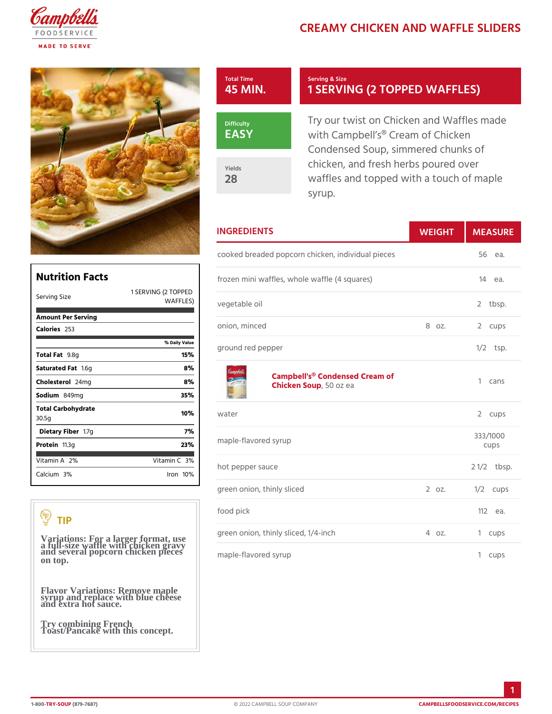# CREAMY CHICKEN AND WAFF



## Serving & Size 1 SERVING (2 TOPPED V

Try our twist on Chicken and W with Campbell s® Cream of Chio Condensed Soup, simmered chu chicken, and fresh herbs poured waffles and topped with a touch syrup.

## INGREDIENTS WEIGH MEASURE

 $\verb|cooked\ break|$  breaded popcorn chicken, individual  $\verb|p56ces|.$ 

| Nutrition Facts                                                              |                     |                                                    | frozen mini waffles, whole waffle (4 squares) 14 ea. |          |                      |            |
|------------------------------------------------------------------------------|---------------------|----------------------------------------------------|------------------------------------------------------|----------|----------------------|------------|
| Serving Size                                                                 | 1 SERVING (2 TOPPED | WAFFLES) vegetable oil                             |                                                      |          |                      | 2 tbsp.    |
| Amount Per Serving                                                           |                     |                                                    |                                                      |          |                      |            |
| $C$ alorie $253$                                                             |                     | onion, minced                                      |                                                      | 8 oz.    |                      | 2 cups     |
|                                                                              | % Daily Value       |                                                    |                                                      |          |                      | $1/2$ tsp. |
| Total Fat8g                                                                  | 15%                 | ground red pepper                                  |                                                      |          |                      |            |
| Saturated 1F. Sig                                                            | 8%                  |                                                    |                                                      |          |                      |            |
| Cholestelema                                                                 | 8%                  | Campbell's® Condensed Cream of<br>Chicken Soopozea |                                                      |          |                      | 1 cans     |
| Sodium 849mg                                                                 | 35%                 |                                                    |                                                      |          |                      |            |
| Total Carbohydrate<br>30.5q                                                  | 10%                 | water                                              |                                                      |          |                      | 2 cups     |
| Dietary F1ib7eg                                                              | 7%                  |                                                    |                                                      | 333/1000 |                      |            |
| Proteifi1.3g<br>23%                                                          |                     | maple-flavored syrup                               |                                                      |          | cups                 |            |
| Vitamin2 $A_0$                                                               | Vitamin3 <b>%</b>   |                                                    |                                                      |          |                      |            |
| Calcium <sup>30</sup> %                                                      | $l$ ron 10 $\%$     | hot pepper sauce                                   |                                                      |          | $2 \frac{1}{2}$ bsp. |            |
|                                                                              |                     |                                                    | green onion, thinly sliced                           | 2 0 Z.   |                      | $1/2$ cups |
|                                                                              |                     | food pick                                          |                                                      |          |                      | 112ea.     |
| TIP                                                                          |                     |                                                    | green onion, thinly sliced, 1/4-inch 4 oz.           |          |                      | 1 cups     |
| Variations: For a larger format, use<br>a full-size waffle with chicken draw |                     |                                                    |                                                      |          |                      |            |

maple-flavored syrup

| Saturated 1F.&tg            |       |
|-----------------------------|-------|
| Choleste 2 o4 lm q          |       |
| Sodium 849 m q              |       |
| Total Carbohydrate<br>30.5g |       |
| Dietary F1ib7eg             |       |
| Proteifi 1.3g               |       |
|                             |       |
| Vitamin2A%                  | Vitam |
| Calciu3m%                   | l r o |
|                             |       |

Variations: For a larger format, use a full-size waffle with chicken gravy and several popcorn chicken pieces on top.

Flavor Variations: Remove maple syrup and replace with blue cheese and extra hot sauce.

Try combining French Toast/Pancake with this concept.

1-80TORY-SO(USF9-7687) © 2022 CAMPBELL SOUP COMPANY [CAMPBELLSFOODSERVICE](https://campbellsfoodservice.com/recipes).COM/R

1 cups